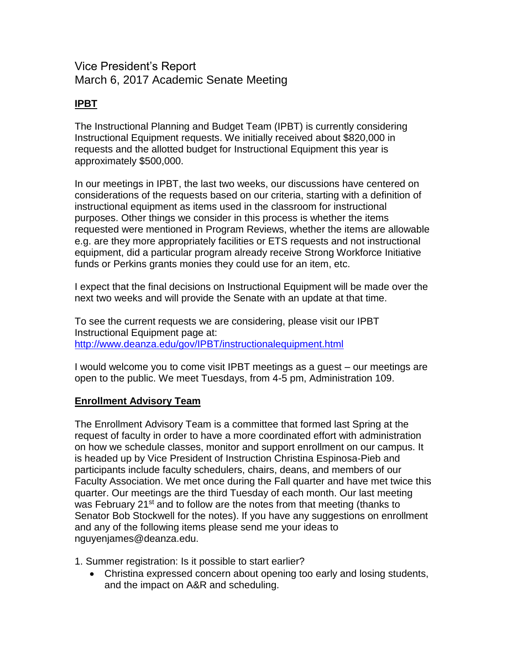## Vice President's Report March 6, 2017 Academic Senate Meeting

## **IPBT**

The Instructional Planning and Budget Team (IPBT) is currently considering Instructional Equipment requests. We initially received about \$820,000 in requests and the allotted budget for Instructional Equipment this year is approximately \$500,000.

In our meetings in IPBT, the last two weeks, our discussions have centered on considerations of the requests based on our criteria, starting with a definition of instructional equipment as items used in the classroom for instructional purposes. Other things we consider in this process is whether the items requested were mentioned in Program Reviews, whether the items are allowable e.g. are they more appropriately facilities or ETS requests and not instructional equipment, did a particular program already receive Strong Workforce Initiative funds or Perkins grants monies they could use for an item, etc.

I expect that the final decisions on Instructional Equipment will be made over the next two weeks and will provide the Senate with an update at that time.

To see the current requests we are considering, please visit our IPBT Instructional Equipment page at: <http://www.deanza.edu/gov/IPBT/instructionalequipment.html>

I would welcome you to come visit IPBT meetings as a guest – our meetings are open to the public. We meet Tuesdays, from 4-5 pm, Administration 109.

## **Enrollment Advisory Team**

The Enrollment Advisory Team is a committee that formed last Spring at the request of faculty in order to have a more coordinated effort with administration on how we schedule classes, monitor and support enrollment on our campus. It is headed up by Vice President of Instruction Christina Espinosa-Pieb and participants include faculty schedulers, chairs, deans, and members of our Faculty Association. We met once during the Fall quarter and have met twice this quarter. Our meetings are the third Tuesday of each month. Our last meeting was February 21<sup>st</sup> and to follow are the notes from that meeting (thanks to Senator Bob Stockwell for the notes). If you have any suggestions on enrollment and any of the following items please send me your ideas to nguyenjames@deanza.edu.

1. Summer registration: Is it possible to start earlier?

 Christina expressed concern about opening too early and losing students, and the impact on A&R and scheduling.